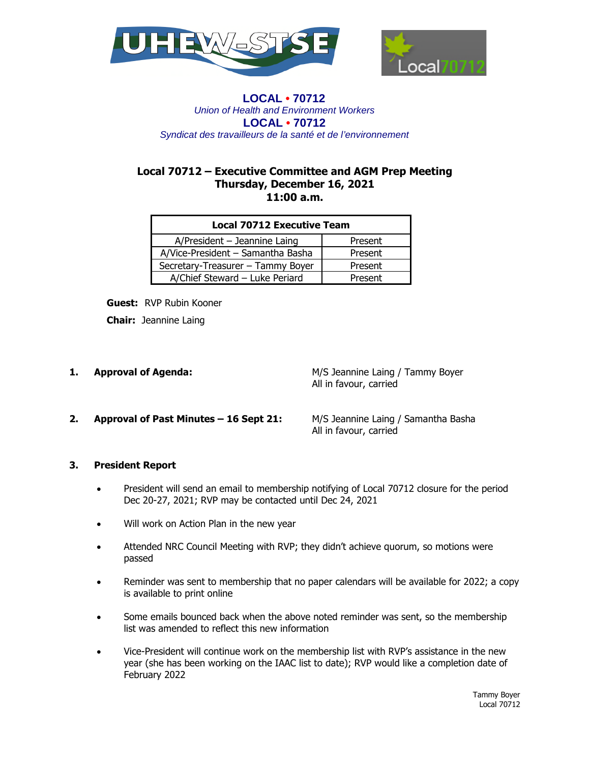



## **LOCAL • 70712** *Union of Health and Environment Workers* **LOCAL • 70712**  *Syndicat des travailleurs de la santé et de l'environnement*

## **Local 70712 – Executive Committee and AGM Prep Meeting Thursday, December 16, 2021 11:00 a.m.**

| <b>Local 70712 Executive Team</b> |         |
|-----------------------------------|---------|
| $A/P$ resident - Jeannine Laing   | Present |
| A/Vice-President - Samantha Basha | Present |
| Secretary-Treasurer - Tammy Boyer | Present |
| A/Chief Steward - Luke Periard    | Present |

**Guest:** RVP Rubin Kooner

**Chair:** Jeannine Laing

**1. Approval of Agenda: 1. Approval of Agenda:** M/S Jeannine Laing / Tammy Boyer All in favour, carried

**2. Approval of Past Minutes – 16 Sept 21:** M/S Jeannine Laing / Samantha Basha

All in favour, carried

# **3. President Report**

- President will send an email to membership notifying of Local 70712 closure for the period Dec 20-27, 2021; RVP may be contacted until Dec 24, 2021
- Will work on Action Plan in the new year
- Attended NRC Council Meeting with RVP; they didn't achieve quorum, so motions were passed
- Reminder was sent to membership that no paper calendars will be available for 2022; a copy is available to print online
- Some emails bounced back when the above noted reminder was sent, so the membership list was amended to reflect this new information
- Vice-President will continue work on the membership list with RVP's assistance in the new year (she has been working on the IAAC list to date); RVP would like a completion date of February 2022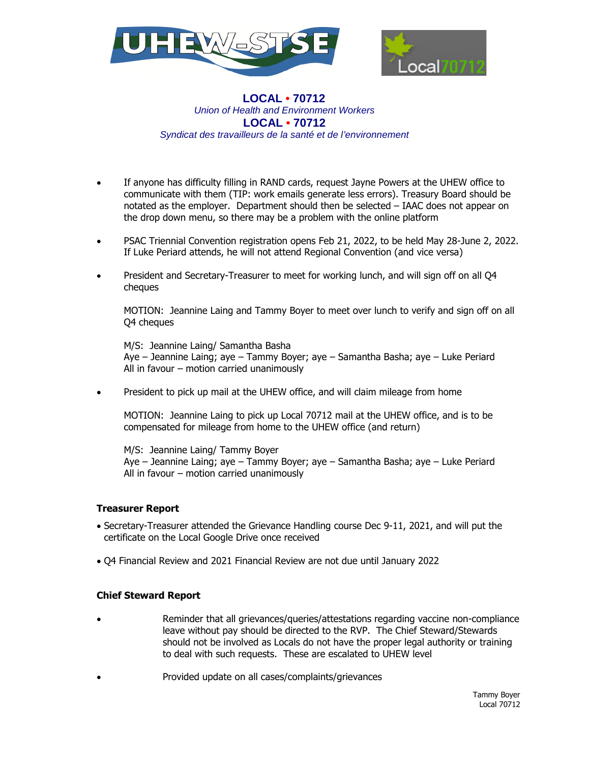



## **LOCAL • 70712** *Union of Health and Environment Workers* **LOCAL • 70712**  *Syndicat des travailleurs de la santé et de l'environnement*

- If anyone has difficulty filling in RAND cards, request Jayne Powers at the UHEW office to communicate with them (TIP: work emails generate less errors). Treasury Board should be notated as the employer. Department should then be selected – IAAC does not appear on the drop down menu, so there may be a problem with the online platform
- PSAC Triennial Convention registration opens Feb 21, 2022, to be held May 28-June 2, 2022. If Luke Periard attends, he will not attend Regional Convention (and vice versa)
- President and Secretary-Treasurer to meet for working lunch, and will sign off on all Q4 cheques

MOTION: Jeannine Laing and Tammy Boyer to meet over lunch to verify and sign off on all Q4 cheques

M/S: Jeannine Laing/ Samantha Basha Aye – Jeannine Laing; aye – Tammy Boyer; aye – Samantha Basha; aye – Luke Periard All in favour – motion carried unanimously

President to pick up mail at the UHEW office, and will claim mileage from home

MOTION: Jeannine Laing to pick up Local 70712 mail at the UHEW office, and is to be compensated for mileage from home to the UHEW office (and return)

M/S: Jeannine Laing/ Tammy Boyer Aye – Jeannine Laing; aye – Tammy Boyer; aye – Samantha Basha; aye – Luke Periard All in favour – motion carried unanimously

### **Treasurer Report**

- Secretary-Treasurer attended the Grievance Handling course Dec 9-11, 2021, and will put the certificate on the Local Google Drive once received
- Q4 Financial Review and 2021 Financial Review are not due until January 2022

### **Chief Steward Report**

- Reminder that all grievances/queries/attestations regarding vaccine non-compliance leave without pay should be directed to the RVP. The Chief Steward/Stewards should not be involved as Locals do not have the proper legal authority or training to deal with such requests. These are escalated to UHEW level
	- Provided update on all cases/complaints/grievances